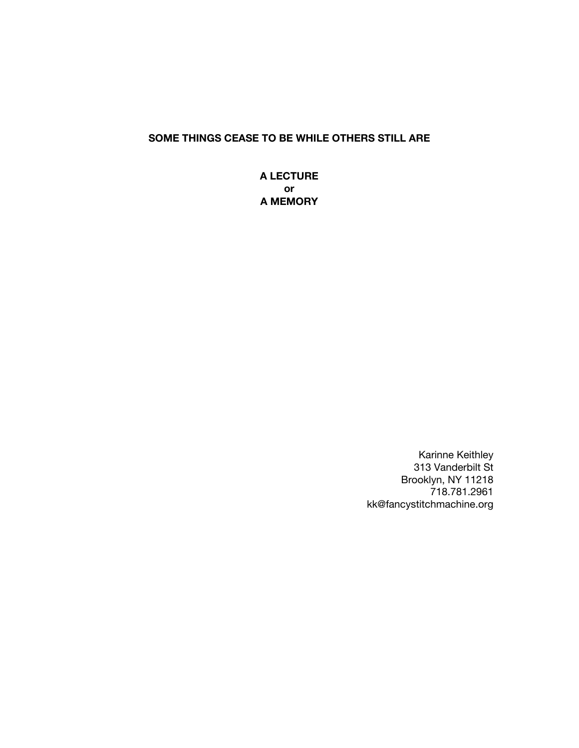## **SOME THINGS CEASE TO BE WHILE OTHERS STILL ARE**

**A LECTURE or A MEMORY**

> Karinne Keithley 313 Vanderbilt St Brooklyn, NY 11218 718.781.2961 kk@fancystitchmachine.org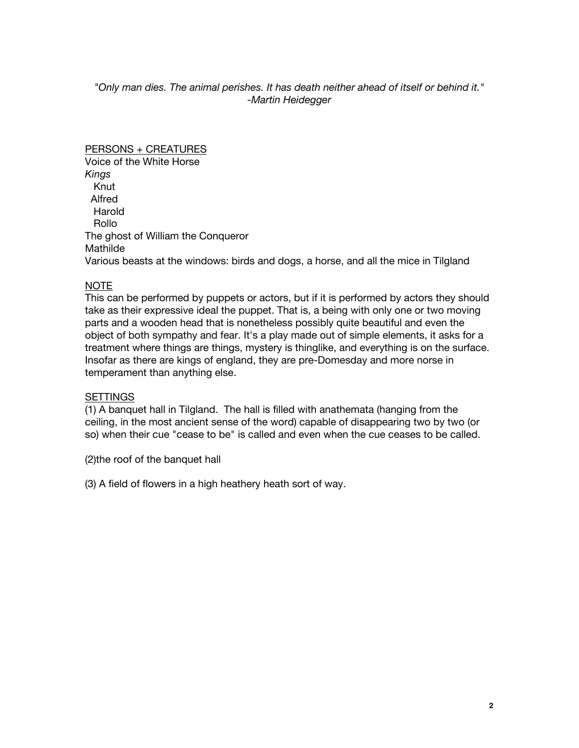*"Only man dies. The animal perishes. It has death neither ahead of itself or behind it." -Martin Heidegger*

## PERSONS + CREATURES

Voice of the White Horse *Kings* Knut Alfred Harold Rollo The ghost of William the Conqueror Mathilde Various beasts at the windows: birds and dogs, a horse, and all the mice in Tilgland

# NOTE

This can be performed by puppets or actors, but if it is performed by actors they should take as their expressive ideal the puppet. That is, a being with only one or two moving parts and a wooden head that is nonetheless possibly quite beautiful and even the object of both sympathy and fear. It's a play made out of simple elements, it asks for a treatment where things are things, mystery is thinglike, and everything is on the surface. Insofar as there are kings of england, they are pre-Domesday and more norse in temperament than anything else.

## **SETTINGS**

(1) A banquet hall in Tilgland. The hall is filled with anathemata (hanging from the ceiling, in the most ancient sense of the word) capable of disappearing two by two (or so) when their cue "cease to be" is called and even when the cue ceases to be called.

(2)the roof of the banquet hall

(3) A field of flowers in a high heathery heath sort of way.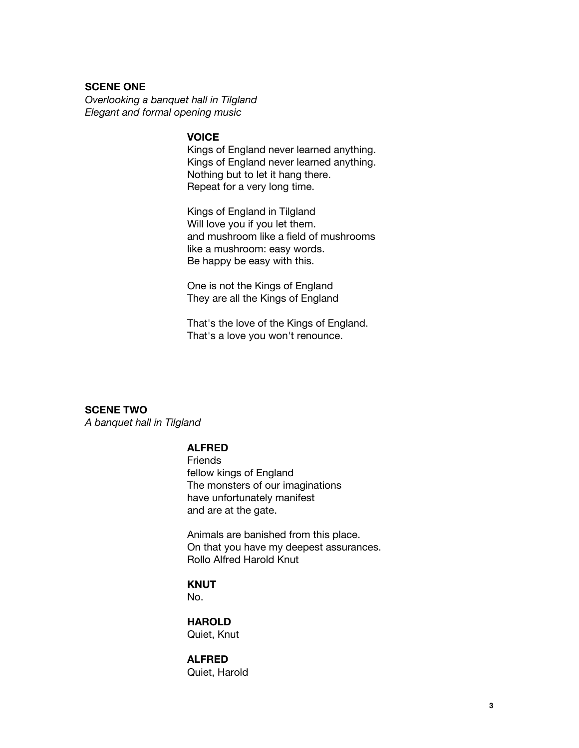#### **SCENE ONE**

*Overlooking a banquet hall in Tilgland Elegant and formal opening music*

## **VOICE**

Kings of England never learned anything. Kings of England never learned anything. Nothing but to let it hang there. Repeat for a very long time.

Kings of England in Tilgland Will love you if you let them. and mushroom like a field of mushrooms like a mushroom: easy words. Be happy be easy with this.

One is not the Kings of England They are all the Kings of England

That's the love of the Kings of England. That's a love you won't renounce.

**SCENE TWO**

*A banquet hall in Tilgland*

# **ALFRED**

**Friends** fellow kings of England The monsters of our imaginations have unfortunately manifest and are at the gate.

Animals are banished from this place. On that you have my deepest assurances. Rollo Alfred Harold Knut

# **KNUT**

No.

# **HAROLD**

Quiet, Knut

# **ALFRED**

Quiet, Harold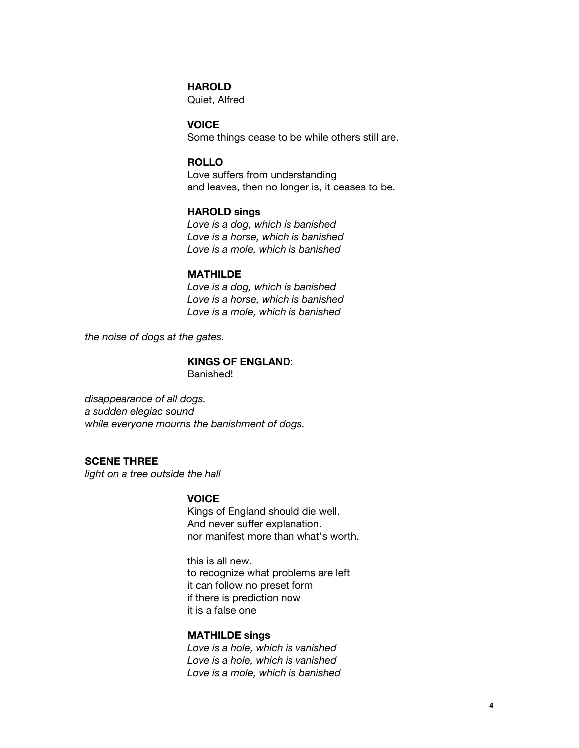#### **HAROLD**

Quiet, Alfred

# **VOICE**

Some things cease to be while others still are.

## **ROLLO**

Love suffers from understanding and leaves, then no longer is, it ceases to be.

#### **HAROLD sings**

*Love is a dog, which is banished Love is a horse, which is banished Love is a mole, which is banished*

#### **MATHILDE**

*Love is a dog, which is banished Love is a horse, which is banished Love is a mole, which is banished*

*the noise of dogs at the gates.*

#### **KINGS OF ENGLAND**: Banished!

*disappearance of all dogs. a sudden elegiac sound while everyone mourns the banishment of dogs.*

## **SCENE THREE**

*light on a tree outside the hall*

## **VOICE**

Kings of England should die well. And never suffer explanation. nor manifest more than what's worth.

this is all new. to recognize what problems are left it can follow no preset form if there is prediction now it is a false one

## **MATHILDE sings**

*Love is a hole, which is vanished Love is a hole, which is vanished Love is a mole, which is banished*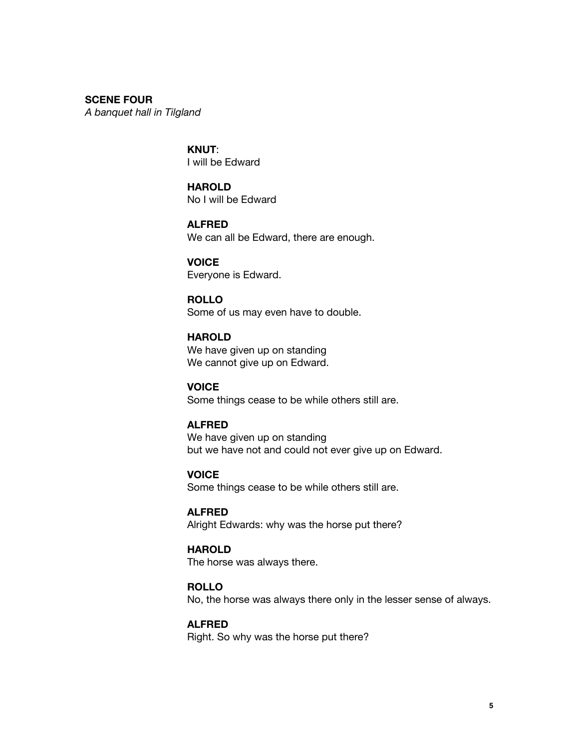**SCENE FOUR**

*A banquet hall in Tilgland*

**KNUT**: I will be Edward

**HAROLD** No I will be Edward

**ALFRED** We can all be Edward, there are enough.

**VOICE** Everyone is Edward.

**ROLLO** Some of us may even have to double.

**HAROLD** We have given up on standing We cannot give up on Edward.

**VOICE** Some things cease to be while others still are.

**ALFRED** We have given up on standing but we have not and could not ever give up on Edward.

**VOICE** Some things cease to be while others still are.

**ALFRED** Alright Edwards: why was the horse put there?

**HAROLD** The horse was always there.

**ROLLO** No, the horse was always there only in the lesser sense of always.

**ALFRED** Right. So why was the horse put there?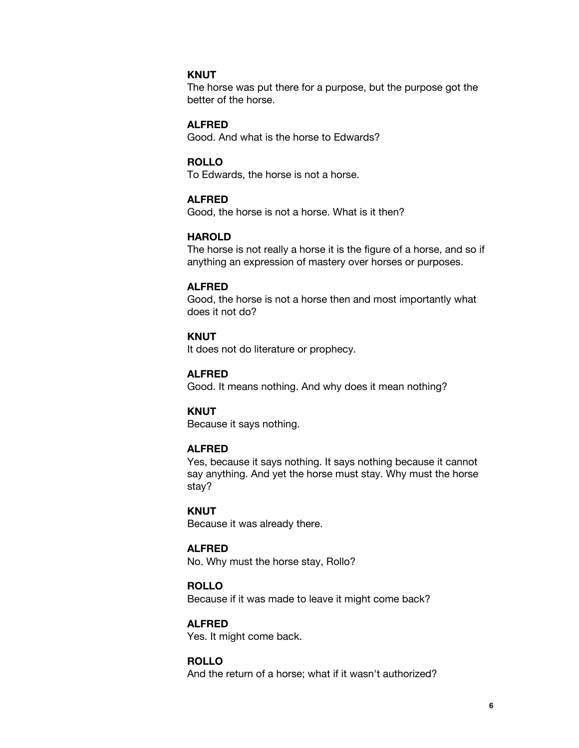### **KNUT**

The horse was put there for a purpose, but the purpose got the better of the horse.

# **ALFRED**

Good. And what is the horse to Edwards?

# **ROLLO**

To Edwards, the horse is not a horse.

#### **ALFRED**

Good, the horse is not a horse. What is it then?

#### **HAROLD**

The horse is not really a horse it is the figure of a horse, and so if anything an expression of mastery over horses or purposes.

## **ALFRED**

Good, the horse is not a horse then and most importantly what does it not do?

# **KNUT**

It does not do literature or prophecy.

#### **ALFRED**

Good. It means nothing. And why does it mean nothing?

#### **KNUT**

Because it says nothing.

## **ALFRED**

Yes, because it says nothing. It says nothing because it cannot say anything. And yet the horse must stay. Why must the horse stay?

#### **KNUT**

Because it was already there.

#### **ALFRED**

No. Why must the horse stay, Rollo?

#### **ROLLO**

Because if it was made to leave it might come back?

## **ALFRED**

Yes. It might come back.

## **ROLLO**

And the return of a horse; what if it wasn't authorized?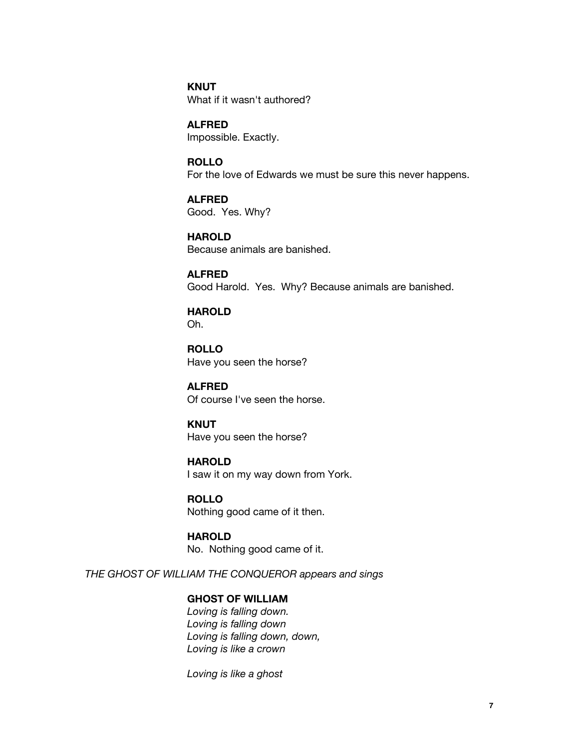**KNUT** What if it wasn't authored?

**ALFRED** Impossible. Exactly.

**ROLLO** For the love of Edwards we must be sure this never happens.

**ALFRED** Good. Yes. Why?

**HAROLD** Because animals are banished.

**ALFRED** Good Harold. Yes. Why? Because animals are banished.

**HAROLD** Oh.

**ROLLO** Have you seen the horse?

**ALFRED** Of course I've seen the horse.

**KNUT** Have you seen the horse?

**HAROLD** I saw it on my way down from York.

**ROLLO** Nothing good came of it then.

**HAROLD** No. Nothing good came of it.

*THE GHOST OF WILLIAM THE CONQUEROR appears and sings*

**GHOST OF WILLIAM**

*Loving is falling down. Loving is falling down Loving is falling down, down, Loving is like a crown*

*Loving is like a ghost*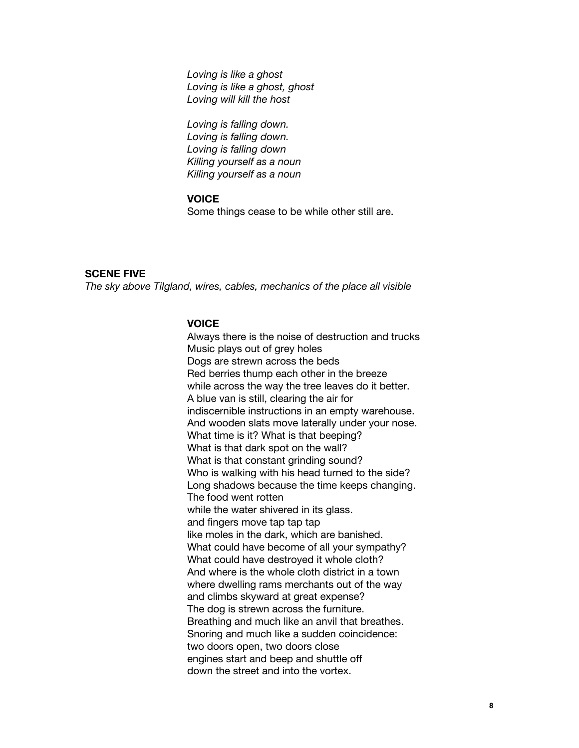*Loving is like a ghost Loving is like a ghost, ghost Loving will kill the host*

*Loving is falling down. Loving is falling down. Loving is falling down Killing yourself as a noun Killing yourself as a noun*

## **VOICE**

Some things cease to be while other still are.

#### **SCENE FIVE**

*The sky above Tilgland, wires, cables, mechanics of the place all visible*

## **VOICE**

Always there is the noise of destruction and trucks Music plays out of grey holes Dogs are strewn across the beds Red berries thump each other in the breeze while across the way the tree leaves do it better. A blue van is still, clearing the air for indiscernible instructions in an empty warehouse. And wooden slats move laterally under your nose. What time is it? What is that beeping? What is that dark spot on the wall? What is that constant grinding sound? Who is walking with his head turned to the side? Long shadows because the time keeps changing. The food went rotten while the water shivered in its glass. and fingers move tap tap tap like moles in the dark, which are banished. What could have become of all your sympathy? What could have destroyed it whole cloth? And where is the whole cloth district in a town where dwelling rams merchants out of the way and climbs skyward at great expense? The dog is strewn across the furniture. Breathing and much like an anvil that breathes. Snoring and much like a sudden coincidence: two doors open, two doors close engines start and beep and shuttle off down the street and into the vortex.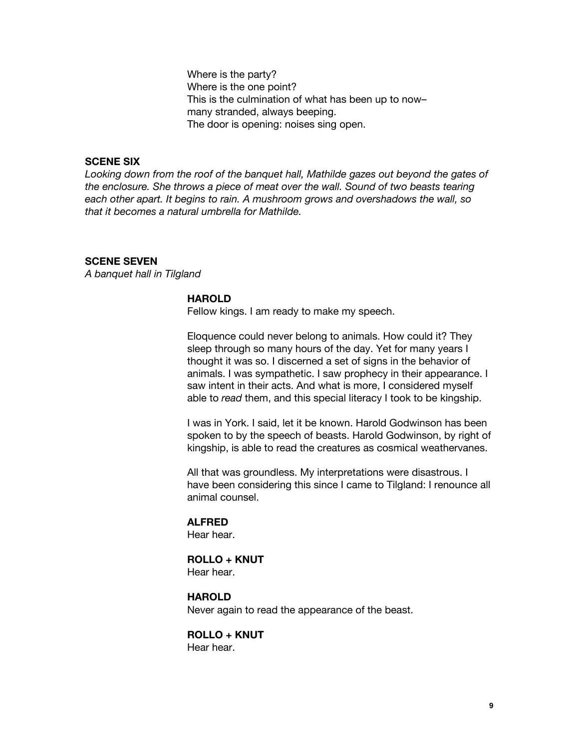Where is the party? Where is the one point? This is the culmination of what has been up to now– many stranded, always beeping. The door is opening: noises sing open.

#### **SCENE SIX**

*Looking down from the roof of the banquet hall, Mathilde gazes out beyond the gates of the enclosure. She throws a piece of meat over the wall. Sound of two beasts tearing each other apart. It begins to rain. A mushroom grows and overshadows the wall, so that it becomes a natural umbrella for Mathilde.*

#### **SCENE SEVEN**

*A banquet hall in Tilgland*

## **HAROLD**

Fellow kings. I am ready to make my speech.

Eloquence could never belong to animals. How could it? They sleep through so many hours of the day. Yet for many years I thought it was so. I discerned a set of signs in the behavior of animals. I was sympathetic. I saw prophecy in their appearance. I saw intent in their acts. And what is more, I considered myself able to *read* them, and this special literacy I took to be kingship.

I was in York. I said, let it be known. Harold Godwinson has been spoken to by the speech of beasts. Harold Godwinson, by right of kingship, is able to read the creatures as cosmical weathervanes.

All that was groundless. My interpretations were disastrous. I have been considering this since I came to Tilgland: I renounce all animal counsel.

#### **ALFRED**

Hear hear.

# **ROLLO + KNUT**

Hear hear.

#### **HAROLD**

Never again to read the appearance of the beast.

## **ROLLO + KNUT**

Hear hear.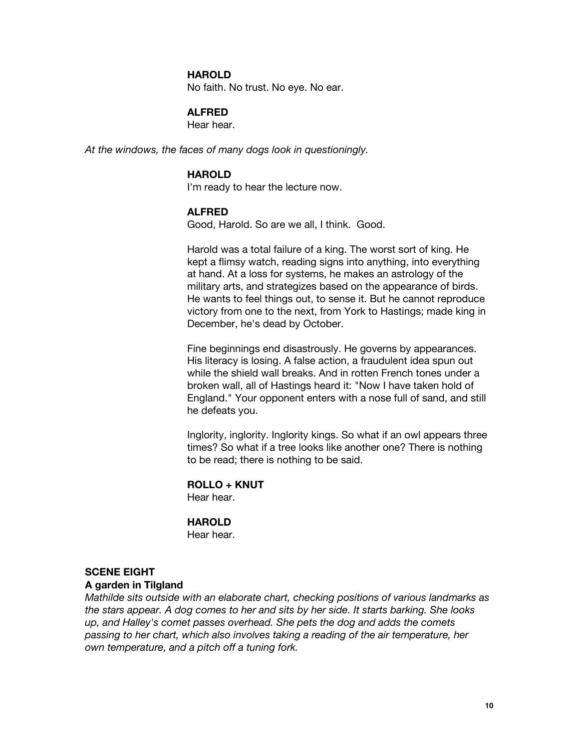#### **HAROLD**

No faith. No trust. No eye. No ear.

### **ALFRED**

Hear hear.

*At the windows, the faces of many dogs look in questioningly.*

#### **HAROLD**

I'm ready to hear the lecture now.

#### **ALFRED**

Good, Harold. So are we all, I think. Good.

Harold was a total failure of a king. The worst sort of king. He kept a flimsy watch, reading signs into anything, into everything at hand. At a loss for systems, he makes an astrology of the military arts, and strategizes based on the appearance of birds. He wants to feel things out, to sense it. But he cannot reproduce victory from one to the next, from York to Hastings; made king in December, he's dead by October.

Fine beginnings end disastrously. He governs by appearances. His literacy is losing. A false action, a fraudulent idea spun out while the shield wall breaks. And in rotten French tones under a broken wall, all of Hastings heard it: "Now I have taken hold of England." Your opponent enters with a nose full of sand, and still he defeats you.

Inglority, inglority. Inglority kings. So what if an owl appears three times? So what if a tree looks like another one? There is nothing to be read; there is nothing to be said.

#### **ROLLO + KNUT** Hear hear.

#### **HAROLD**

Hear hear.

## **SCENE EIGHT**

#### **A garden in Tilgland**

*Mathilde sits outside with an elaborate chart, checking positions of various landmarks as the stars appear. A dog comes to her and sits by her side. It starts barking. She looks up, and Halley's comet passes overhead. She pets the dog and adds the comets passing to her chart, which also involves taking a reading of the air temperature, her own temperature, and a pitch off a tuning fork.*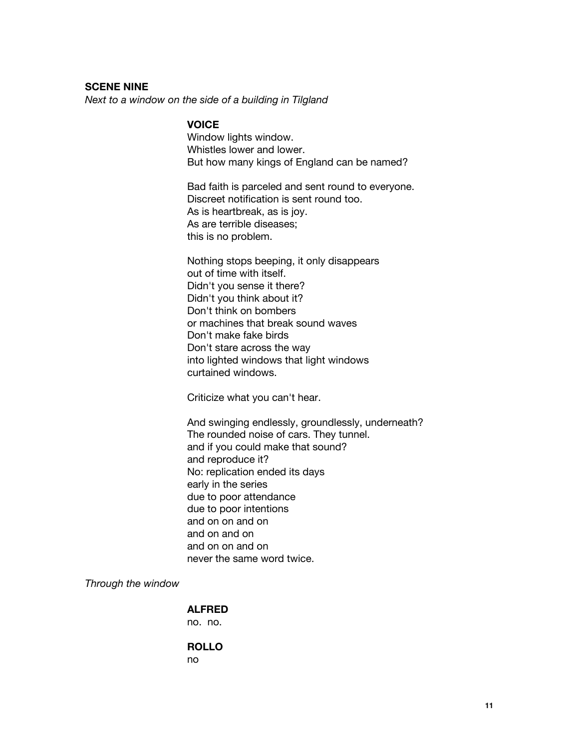#### **SCENE NINE**

*Next to a window on the side of a building in Tilgland*

## **VOICE**

Window lights window. Whistles lower and lower. But how many kings of England can be named?

Bad faith is parceled and sent round to everyone. Discreet notification is sent round too. As is heartbreak, as is joy. As are terrible diseases; this is no problem.

Nothing stops beeping, it only disappears out of time with itself. Didn't you sense it there? Didn't you think about it? Don't think on bombers or machines that break sound waves Don't make fake birds Don't stare across the way into lighted windows that light windows curtained windows.

Criticize what you can't hear.

And swinging endlessly, groundlessly, underneath? The rounded noise of cars. They tunnel. and if you could make that sound? and reproduce it? No: replication ended its days early in the series due to poor attendance due to poor intentions and on on and on and on and on and on on and on never the same word twice.

*Through the window*

# **ALFRED**

no. no.

# **ROLLO**

no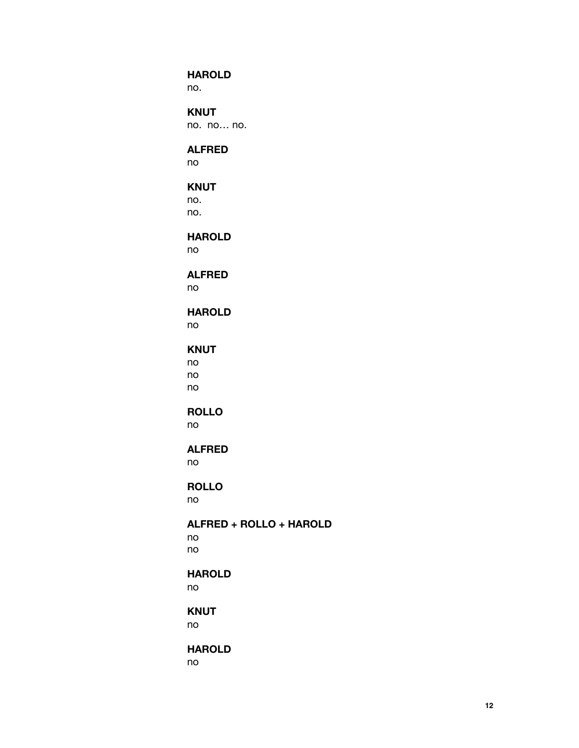#### **HAROLD** no.

**KNUT** no. no… no.

# **ALFRED**

no

# **KNUT**

no. no.

**HAROLD**

no

## **ALFRED**

no

# **HAROLD**

no

# **KNUT**

no no no

# **ROLLO**

no

#### **ALFRED**

no

# **ROLLO**

no

## **ALFRED + ROLLO + HAROLD** no

no

# **HAROLD**

no

# **KNUT**

no

# **HAROLD**

no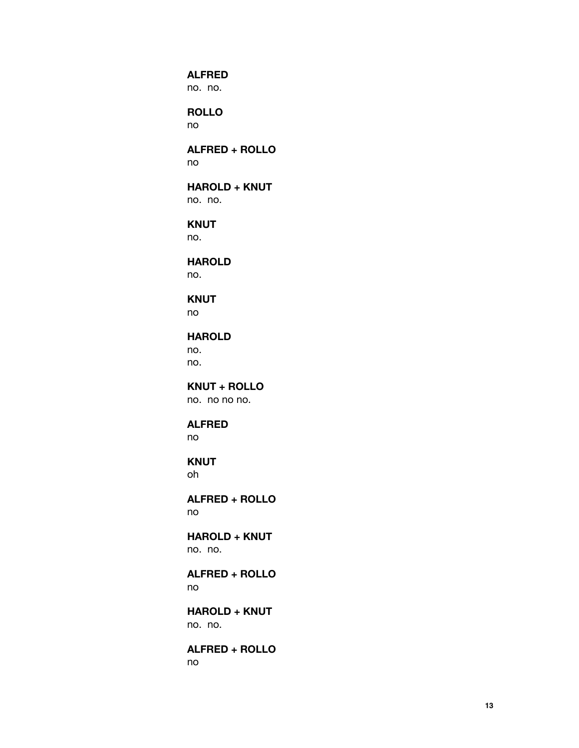**ALFRED** no. no.

**ROLLO** no

**ALFRED + ROLLO** no

**HAROLD + KNUT** no. no.

**KNUT** no.

**HAROLD** no.

**KNUT** no

**HAROLD** no. no.

**KNUT + ROLLO** no. no no no.

**ALFRED** no

**KNUT** oh

**ALFRED + ROLLO** no

**HAROLD + KNUT** no. no.

**ALFRED + ROLLO** no

**HAROLD + KNUT** no. no.

**ALFRED + ROLLO** no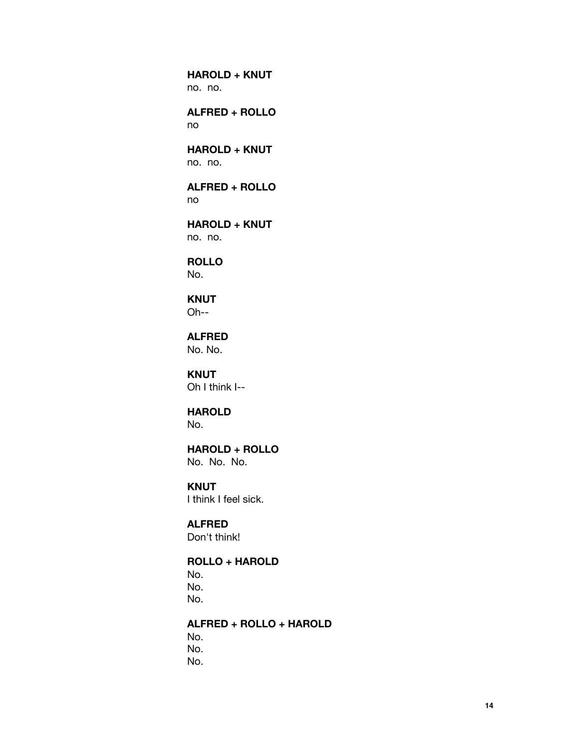**HAROLD + KNUT** no. no.

**ALFRED + ROLLO** no

**HAROLD + KNUT** no. no.

**ALFRED + ROLLO** no

**HAROLD + KNUT** no. no.

**ROLLO** No.

**KNUT** Oh--

**ALFRED** No. No.

**KNUT** Oh I think I--

**HAROLD** No.

**HAROLD + ROLLO** No. No. No.

**KNUT** I think I feel sick.

**ALFRED** Don't think!

# **ROLLO + HAROLD**

No. No. No.

**ALFRED + ROLLO + HAROLD**

No. No. No.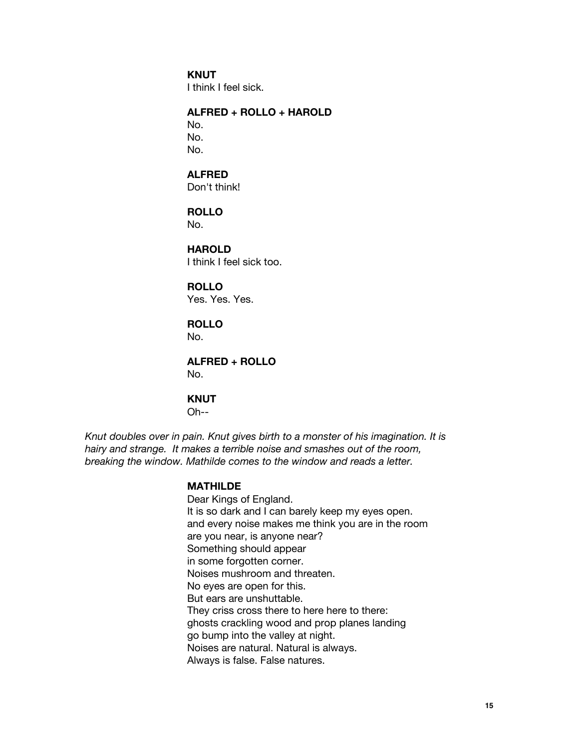#### **KNUT**

I think I feel sick.

## **ALFRED + ROLLO + HAROLD**

No. No. No.

# **ALFRED**

Don't think!

## **ROLLO**

No.

# **HAROLD**

I think I feel sick too.

# **ROLLO** Yes. Yes. Yes.

#### **ROLLO**

No.

#### **ALFRED + ROLLO** No.

#### **KNUT**

Oh--

*Knut doubles over in pain. Knut gives birth to a monster of his imagination. It is hairy and strange. It makes a terrible noise and smashes out of the room, breaking the window. Mathilde comes to the window and reads a letter.*

#### **MATHILDE**

Dear Kings of England. It is so dark and I can barely keep my eyes open. and every noise makes me think you are in the room are you near, is anyone near? Something should appear in some forgotten corner. Noises mushroom and threaten. No eyes are open for this. But ears are unshuttable. They criss cross there to here here to there: ghosts crackling wood and prop planes landing go bump into the valley at night. Noises are natural. Natural is always. Always is false. False natures.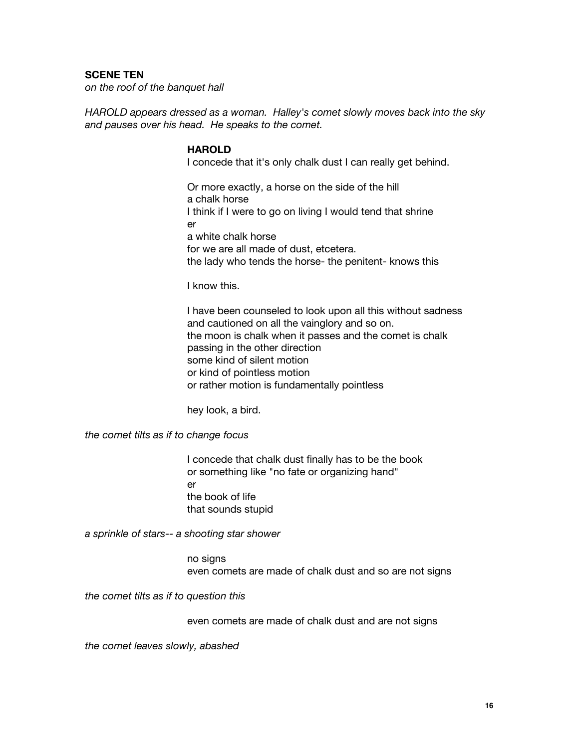#### **SCENE TEN**

*on the roof of the banquet hall*

*HAROLD appears dressed as a woman. Halley's comet slowly moves back into the sky and pauses over his head. He speaks to the comet.*

#### **HAROLD**

I concede that it's only chalk dust I can really get behind.

Or more exactly, a horse on the side of the hill a chalk horse I think if I were to go on living I would tend that shrine er a white chalk horse for we are all made of dust, etcetera. the lady who tends the horse- the penitent- knows this

I know this.

I have been counseled to look upon all this without sadness and cautioned on all the vainglory and so on. the moon is chalk when it passes and the comet is chalk passing in the other direction some kind of silent motion or kind of pointless motion or rather motion is fundamentally pointless

hey look, a bird.

*the comet tilts as if to change focus*

I concede that chalk dust finally has to be the book or something like "no fate or organizing hand" er the book of life that sounds stupid

*a sprinkle of stars-- a shooting star shower*

no signs even comets are made of chalk dust and so are not signs

*the comet tilts as if to question this*

even comets are made of chalk dust and are not signs

*the comet leaves slowly, abashed*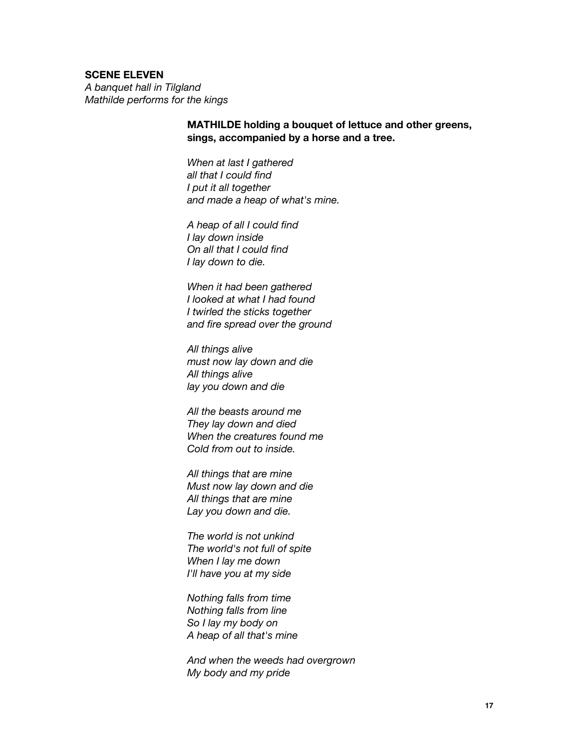#### **SCENE ELEVEN**

*A banquet hall in Tilgland Mathilde performs for the kings*

## **MATHILDE holding a bouquet of lettuce and other greens, sings, accompanied by a horse and a tree.**

*When at last I gathered all that I could find I put it all together and made a heap of what's mine.*

*A heap of all I could find I lay down inside On all that I could find I lay down to die.*

*When it had been gathered I looked at what I had found I twirled the sticks together and fire spread over the ground*

*All things alive must now lay down and die All things alive lay you down and die*

*All the beasts around me They lay down and died When the creatures found me Cold from out to inside.*

*All things that are mine Must now lay down and die All things that are mine Lay you down and die.*

*The world is not unkind The world's not full of spite When I lay me down I'll have you at my side*

*Nothing falls from time Nothing falls from line So I lay my body on A heap of all that's mine*

*And when the weeds had overgrown My body and my pride*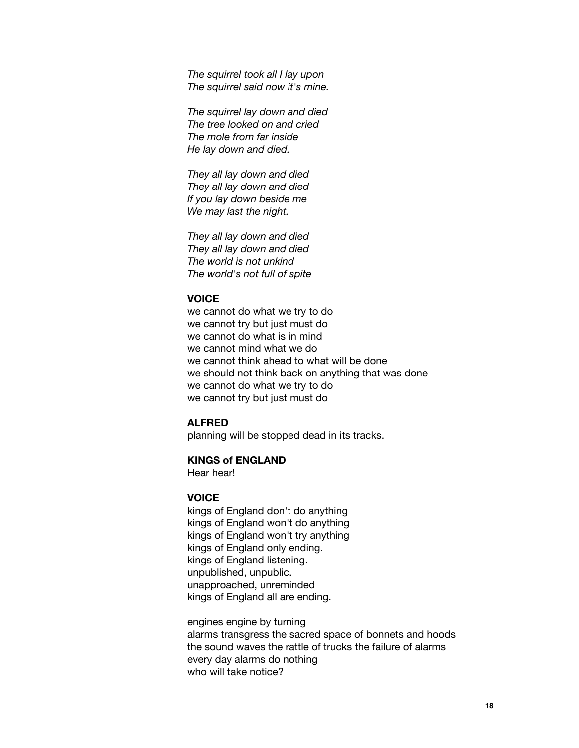*The squirrel took all I lay upon The squirrel said now it's mine.*

*The squirrel lay down and died The tree looked on and cried The mole from far inside He lay down and died.*

*They all lay down and died They all lay down and died If you lay down beside me We may last the night.*

*They all lay down and died They all lay down and died The world is not unkind The world's not full of spite*

#### **VOICE**

we cannot do what we try to do we cannot try but just must do we cannot do what is in mind we cannot mind what we do we cannot think ahead to what will be done we should not think back on anything that was done we cannot do what we try to do we cannot try but just must do

## **ALFRED**

planning will be stopped dead in its tracks.

## **KINGS of ENGLAND**

Hear hear!

#### **VOICE**

kings of England don't do anything kings of England won't do anything kings of England won't try anything kings of England only ending. kings of England listening. unpublished, unpublic. unapproached, unreminded kings of England all are ending.

engines engine by turning alarms transgress the sacred space of bonnets and hoods the sound waves the rattle of trucks the failure of alarms every day alarms do nothing who will take notice?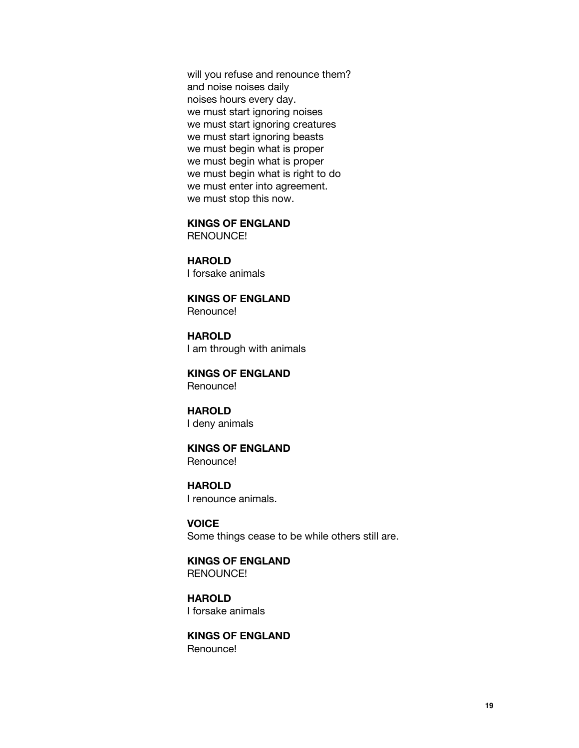will you refuse and renounce them? and noise noises daily noises hours every day. we must start ignoring noises we must start ignoring creatures we must start ignoring beasts we must begin what is proper we must begin what is proper we must begin what is right to do we must enter into agreement. we must stop this now.

**KINGS OF ENGLAND** RENOUNCE!

**HAROLD** I forsake animals

**KINGS OF ENGLAND** Renounce!

**HAROLD** I am through with animals

**KINGS OF ENGLAND** Renounce!

**HAROLD** I deny animals

**KINGS OF ENGLAND**

Renounce!

**HAROLD**

I renounce animals.

**VOICE** Some things cease to be while others still are.

**KINGS OF ENGLAND** RENOUNCE!

**HAROLD** I forsake animals

**KINGS OF ENGLAND** Renounce!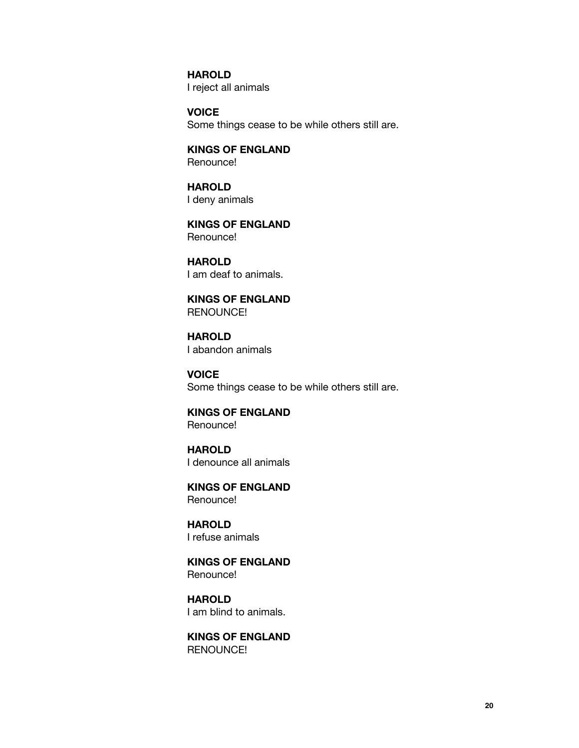**HAROLD** I reject all animals

**VOICE** Some things cease to be while others still are.

**KINGS OF ENGLAND** Renounce!

**HAROLD** I deny animals

**KINGS OF ENGLAND** Renounce!

**HAROLD** I am deaf to animals.

**KINGS OF ENGLAND** RENOUNCE!

**HAROLD** I abandon animals

**VOICE** Some things cease to be while others still are.

**KINGS OF ENGLAND** Renounce!

**HAROLD** I denounce all animals

**KINGS OF ENGLAND** Renounce!

**HAROLD** I refuse animals

**KINGS OF ENGLAND** Renounce!

**HAROLD** I am blind to animals.

**KINGS OF ENGLAND** RENOUNCE!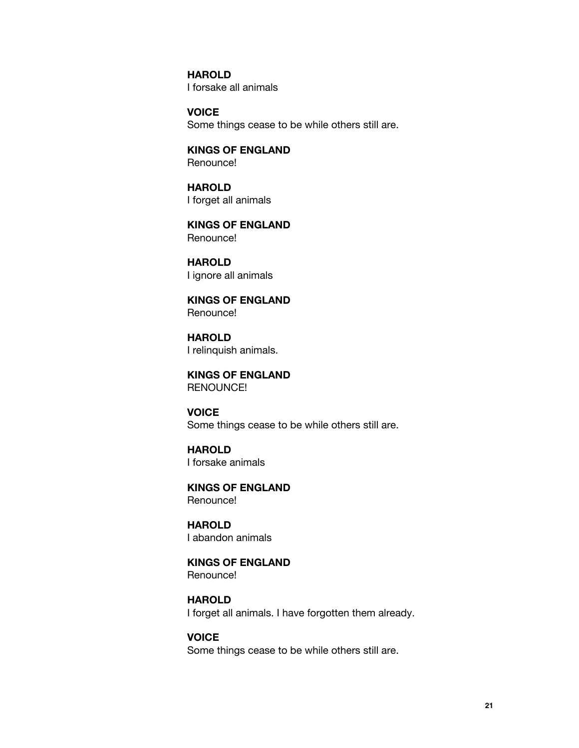**HAROLD** I forsake all animals

**VOICE** Some things cease to be while others still are.

**KINGS OF ENGLAND** Renounce!

**HAROLD** I forget all animals

**KINGS OF ENGLAND** Renounce!

**HAROLD** I ignore all animals

**KINGS OF ENGLAND** Renounce!

**HAROLD** I relinquish animals.

**KINGS OF ENGLAND** RENOUNCE!

**VOICE** Some things cease to be while others still are.

**HAROLD** I forsake animals

**KINGS OF ENGLAND** Renounce!

**HAROLD** I abandon animals

**KINGS OF ENGLAND** Renounce!

**HAROLD**

I forget all animals. I have forgotten them already.

**VOICE**

Some things cease to be while others still are.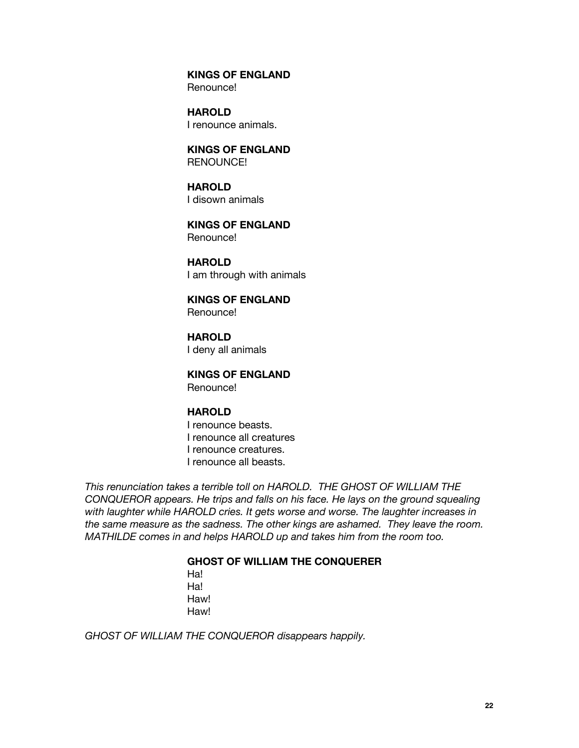**KINGS OF ENGLAND** Renounce!

**HAROLD** I renounce animals.

**KINGS OF ENGLAND** RENOUNCE!

**HAROLD** I disown animals

**KINGS OF ENGLAND** Renounce!

**HAROLD** I am through with animals

**KINGS OF ENGLAND** Renounce!

**HAROLD** I deny all animals

**KINGS OF ENGLAND**

Renounce!

# **HAROLD**

I renounce beasts. I renounce all creatures I renounce creatures. I renounce all beasts.

*This renunciation takes a terrible toll on HAROLD. THE GHOST OF WILLIAM THE CONQUEROR appears. He trips and falls on his face. He lays on the ground squealing with laughter while HAROLD cries. It gets worse and worse. The laughter increases in the same measure as the sadness. The other kings are ashamed. They leave the room. MATHILDE comes in and helps HAROLD up and takes him from the room too.*

# **GHOST OF WILLIAM THE CONQUERER**

Ha! Ha! Haw! Haw!

*GHOST OF WILLIAM THE CONQUEROR disappears happily.*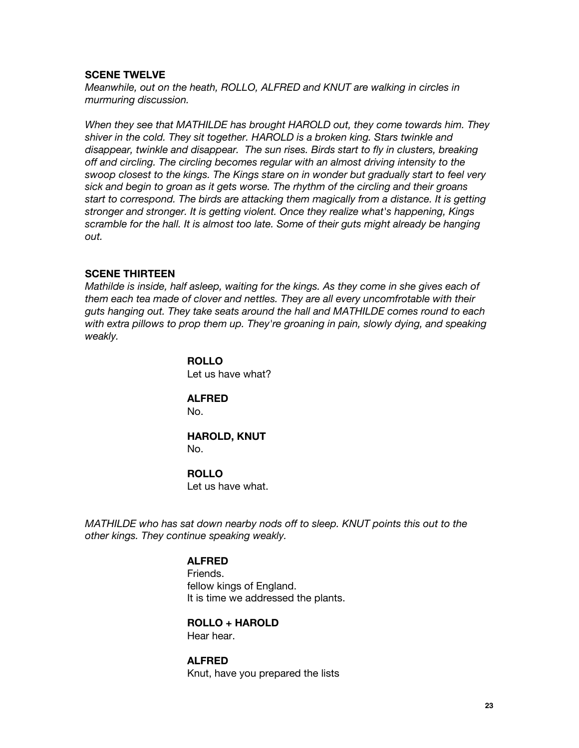#### **SCENE TWELVE**

*Meanwhile, out on the heath, ROLLO, ALFRED and KNUT are walking in circles in murmuring discussion.*

*When they see that MATHILDE has brought HAROLD out, they come towards him. They shiver in the cold. They sit together. HAROLD is a broken king. Stars twinkle and disappear, twinkle and disappear. The sun rises. Birds start to fly in clusters, breaking off and circling. The circling becomes regular with an almost driving intensity to the swoop closest to the kings. The Kings stare on in wonder but gradually start to feel very sick and begin to groan as it gets worse. The rhythm of the circling and their groans start to correspond. The birds are attacking them magically from a distance. It is getting stronger and stronger. It is getting violent. Once they realize what's happening, Kings scramble for the hall. It is almost too late. Some of their guts might already be hanging out.*

#### **SCENE THIRTEEN**

*Mathilde is inside, half asleep, waiting for the kings. As they come in she gives each of them each tea made of clover and nettles. They are all every uncomfrotable with their guts hanging out. They take seats around the hall and MATHILDE comes round to each with extra pillows to prop them up. They're groaning in pain, slowly dying, and speaking weakly.*

> **ROLLO** Let us have what?

**ALFRED** No.

**HAROLD, KNUT**

No.

**ROLLO** Let us have what.

*MATHILDE who has sat down nearby nods off to sleep. KNUT points this out to the other kings. They continue speaking weakly.*

# **ALFRED**

Friends. fellow kings of England. It is time we addressed the plants.

# **ROLLO + HAROLD**

Hear hear.

**ALFRED** Knut, have you prepared the lists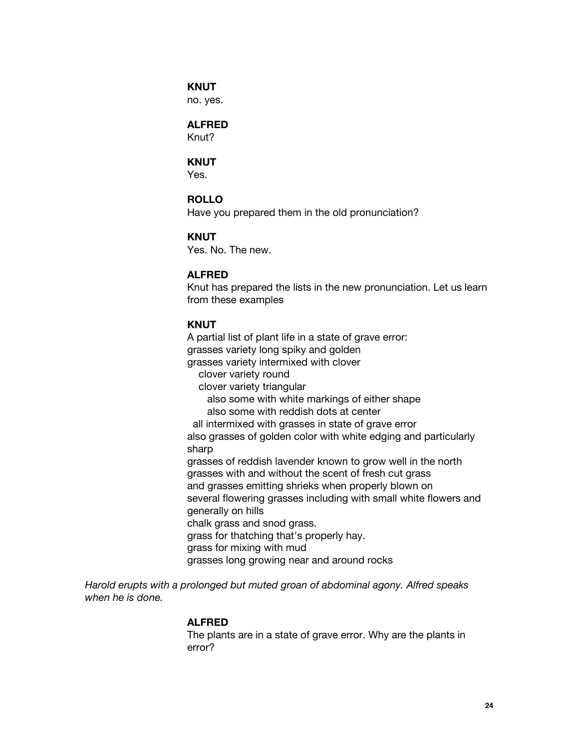## **KNUT**

no. yes.

# **ALFRED**

Knut?

# **KNUT**

Yes.

# **ROLLO**

Have you prepared them in the old pronunciation?

#### **KNUT**

Yes. No. The new.

## **ALFRED**

Knut has prepared the lists in the new pronunciation. Let us learn from these examples

## **KNUT**

A partial list of plant life in a state of grave error: grasses variety long spiky and golden grasses variety intermixed with clover clover variety round clover variety triangular also some with white markings of either shape

also some with reddish dots at center

 all intermixed with grasses in state of grave error also grasses of golden color with white edging and particularly sharp

grasses of reddish lavender known to grow well in the north grasses with and without the scent of fresh cut grass and grasses emitting shrieks when properly blown on several flowering grasses including with small white flowers and generally on hills chalk grass and snod grass. grass for thatching that's properly hay. grass for mixing with mud

grasses long growing near and around rocks

*Harold erupts with a prolonged but muted groan of abdominal agony. Alfred speaks when he is done.*

## **ALFRED**

The plants are in a state of grave error. Why are the plants in error?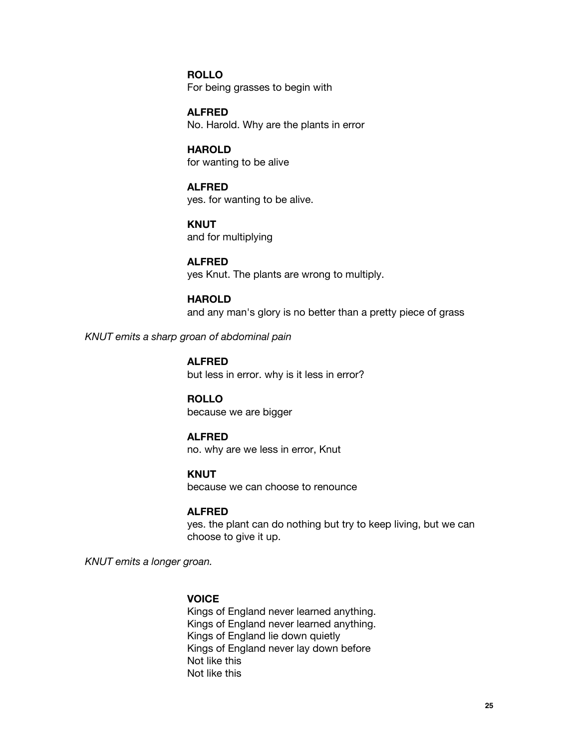#### **ROLLO**

For being grasses to begin with

**ALFRED** No. Harold. Why are the plants in error

**HAROLD** for wanting to be alive

**ALFRED** yes. for wanting to be alive.

**KNUT** and for multiplying

**ALFRED** yes Knut. The plants are wrong to multiply.

**HAROLD** and any man's glory is no better than a pretty piece of grass

*KNUT emits a sharp groan of abdominal pain*

**ALFRED** but less in error. why is it less in error?

**ROLLO** because we are bigger

# **ALFRED**

no. why are we less in error, Knut

**KNUT**

because we can choose to renounce

#### **ALFRED**

yes. the plant can do nothing but try to keep living, but we can choose to give it up.

*KNUT emits a longer groan.*

## **VOICE**

Kings of England never learned anything. Kings of England never learned anything. Kings of England lie down quietly Kings of England never lay down before Not like this Not like this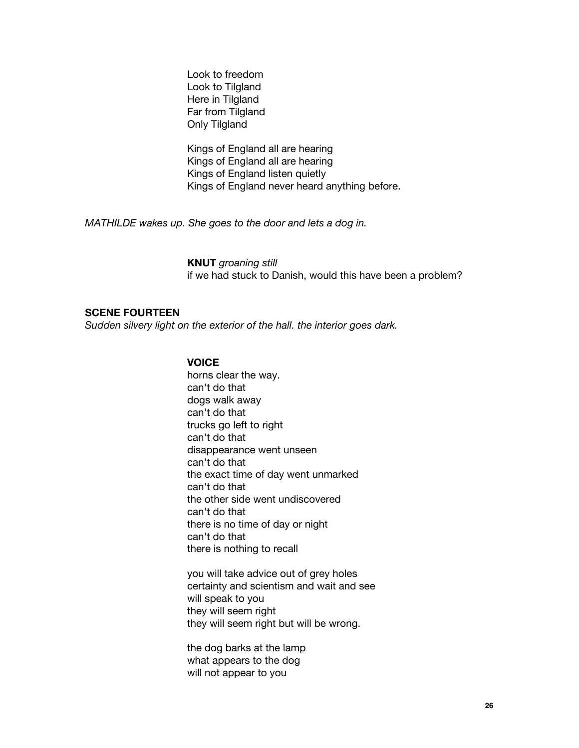Look to freedom Look to Tilgland Here in Tilgland Far from Tilgland Only Tilgland

Kings of England all are hearing Kings of England all are hearing Kings of England listen quietly Kings of England never heard anything before.

*MATHILDE wakes up. She goes to the door and lets a dog in.*

**KNUT** *groaning still* if we had stuck to Danish, would this have been a problem?

## **SCENE FOURTEEN**

*Sudden silvery light on the exterior of the hall. the interior goes dark.*

#### **VOICE**

horns clear the way. can't do that dogs walk away can't do that trucks go left to right can't do that disappearance went unseen can't do that the exact time of day went unmarked can't do that the other side went undiscovered can't do that there is no time of day or night can't do that there is nothing to recall

you will take advice out of grey holes certainty and scientism and wait and see will speak to you they will seem right they will seem right but will be wrong.

the dog barks at the lamp what appears to the dog will not appear to you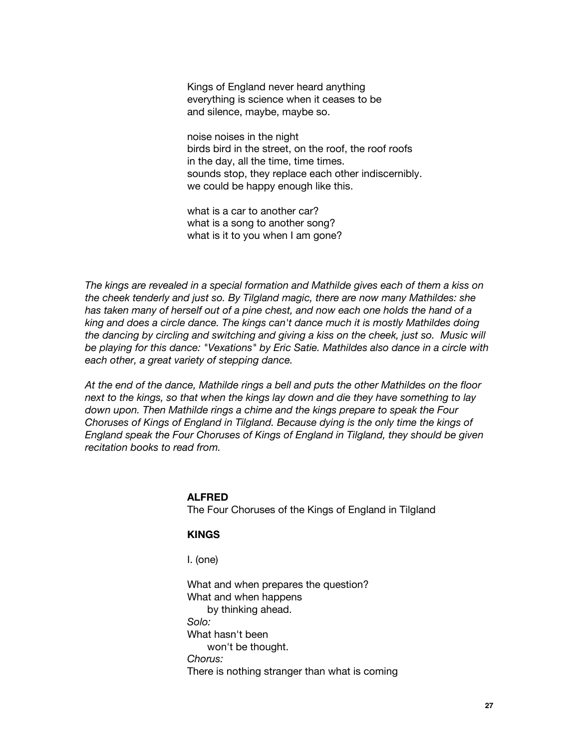Kings of England never heard anything everything is science when it ceases to be and silence, maybe, maybe so.

noise noises in the night birds bird in the street, on the roof, the roof roofs in the day, all the time, time times. sounds stop, they replace each other indiscernibly. we could be happy enough like this.

what is a car to another car? what is a song to another song? what is it to you when I am gone?

*The kings are revealed in a special formation and Mathilde gives each of them a kiss on the cheek tenderly and just so. By Tilgland magic, there are now many Mathildes: she has taken many of herself out of a pine chest, and now each one holds the hand of a king and does a circle dance. The kings can't dance much it is mostly Mathildes doing the dancing by circling and switching and giving a kiss on the cheek, just so. Music will be playing for this dance: "Vexations" by Eric Satie. Mathildes also dance in a circle with each other, a great variety of stepping dance.*

*At the end of the dance, Mathilde rings a bell and puts the other Mathildes on the floor next to the kings, so that when the kings lay down and die they have something to lay down upon. Then Mathilde rings a chime and the kings prepare to speak the Four Choruses of Kings of England in Tilgland. Because dying is the only time the kings of England speak the Four Choruses of Kings of England in Tilgland, they should be given recitation books to read from.*

> **ALFRED** The Four Choruses of the Kings of England in Tilgland

#### **KINGS**

I. (one)

What and when prepares the question? What and when happens by thinking ahead. *Solo:* What hasn't been won't be thought. *Chorus:* There is nothing stranger than what is coming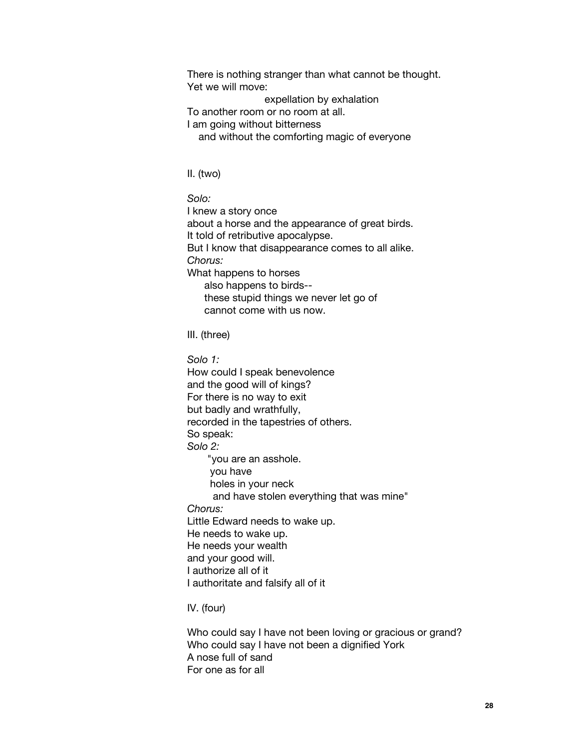There is nothing stranger than what cannot be thought. Yet we will move:

expellation by exhalation

To another room or no room at all.

I am going without bitterness

and without the comforting magic of everyone

II. (two)

*Solo:*

I knew a story once about a horse and the appearance of great birds. It told of retributive apocalypse. But I know that disappearance comes to all alike. *Chorus:* What happens to horses also happens to birds- these stupid things we never let go of cannot come with us now.

III. (three)

*Solo 1:* How could I speak benevolence and the good will of kings? For there is no way to exit but badly and wrathfully, recorded in the tapestries of others. So speak: *Solo 2:* "you are an asshole. you have holes in your neck and have stolen everything that was mine" *Chorus:* Little Edward needs to wake up. He needs to wake up. He needs your wealth and your good will. I authorize all of it I authoritate and falsify all of it

IV. (four)

Who could say I have not been loving or gracious or grand? Who could say I have not been a dignified York A nose full of sand For one as for all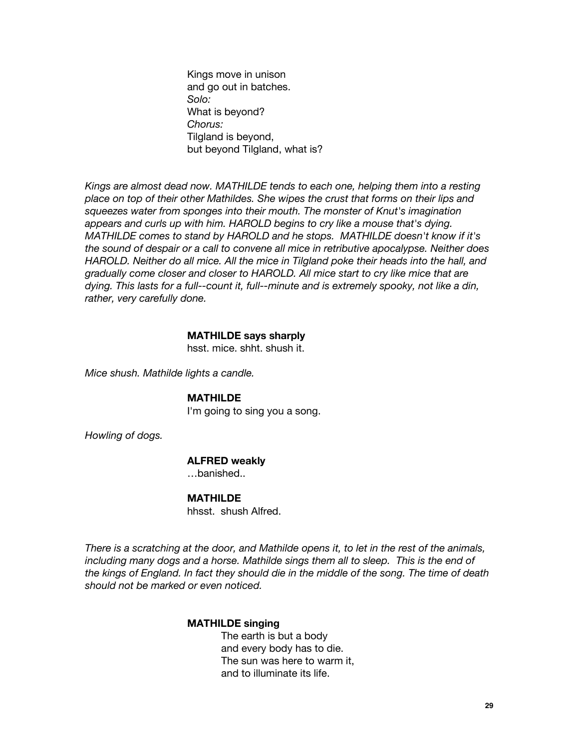Kings move in unison and go out in batches. *Solo:* What is beyond? *Chorus:* Tilgland is beyond, but beyond Tilgland, what is?

*Kings are almost dead now. MATHILDE tends to each one, helping them into a resting place on top of their other Mathildes. She wipes the crust that forms on their lips and squeezes water from sponges into their mouth. The monster of Knut's imagination appears and curls up with him. HAROLD begins to cry like a mouse that's dying. MATHILDE comes to stand by HAROLD and he stops. MATHILDE doesn't know if it's the sound of despair or a call to convene all mice in retributive apocalypse. Neither does HAROLD. Neither do all mice. All the mice in Tilgland poke their heads into the hall, and gradually come closer and closer to HAROLD. All mice start to cry like mice that are dying. This lasts for a full--count it, full--minute and is extremely spooky, not like a din, rather, very carefully done.*

#### **MATHILDE says sharply**

hsst. mice. shht. shush it.

*Mice shush. Mathilde lights a candle.*

#### **MATHILDE**

I'm going to sing you a song.

*Howling of dogs.*

#### **ALFRED weakly**

…banished..

## **MATHILDE**

hhsst. shush Alfred.

*There is a scratching at the door, and Mathilde opens it, to let in the rest of the animals, including many dogs and a horse. Mathilde sings them all to sleep. This is the end of the kings of England. In fact they should die in the middle of the song. The time of death should not be marked or even noticed.*

#### **MATHILDE singing**

The earth is but a body and every body has to die. The sun was here to warm it, and to illuminate its life.